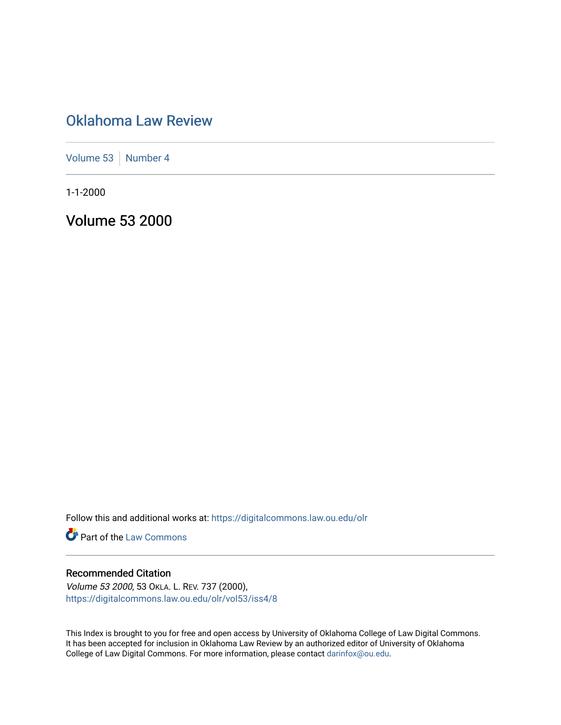# [Oklahoma Law Review](https://digitalcommons.law.ou.edu/olr)

[Volume 53](https://digitalcommons.law.ou.edu/olr/vol53) [Number 4](https://digitalcommons.law.ou.edu/olr/vol53/iss4)

1-1-2000

Volume 53 2000

Follow this and additional works at: [https://digitalcommons.law.ou.edu/olr](https://digitalcommons.law.ou.edu/olr?utm_source=digitalcommons.law.ou.edu%2Folr%2Fvol53%2Fiss4%2F8&utm_medium=PDF&utm_campaign=PDFCoverPages)

**Part of the [Law Commons](http://network.bepress.com/hgg/discipline/578?utm_source=digitalcommons.law.ou.edu%2Folr%2Fvol53%2Fiss4%2F8&utm_medium=PDF&utm_campaign=PDFCoverPages)** 

#### Recommended Citation

Volume 53 2000, 53 OKLA. L. REV. 737 (2000), [https://digitalcommons.law.ou.edu/olr/vol53/iss4/8](https://digitalcommons.law.ou.edu/olr/vol53/iss4/8?utm_source=digitalcommons.law.ou.edu%2Folr%2Fvol53%2Fiss4%2F8&utm_medium=PDF&utm_campaign=PDFCoverPages) 

This Index is brought to you for free and open access by University of Oklahoma College of Law Digital Commons. It has been accepted for inclusion in Oklahoma Law Review by an authorized editor of University of Oklahoma College of Law Digital Commons. For more information, please contact [darinfox@ou.edu.](mailto:darinfox@ou.edu)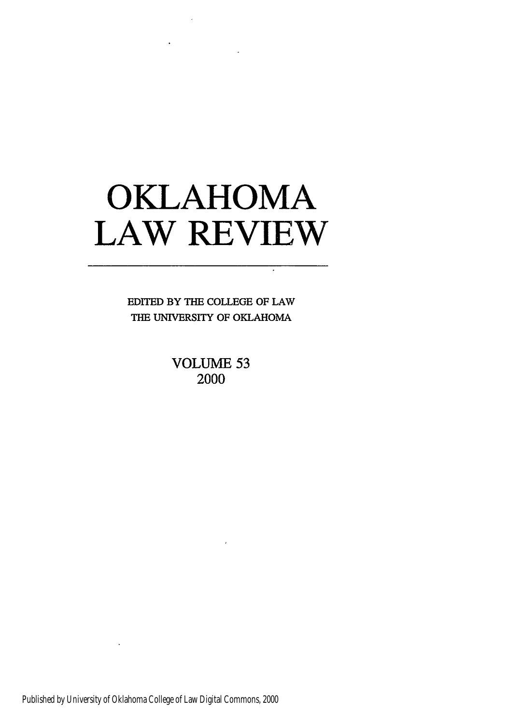# **OKLAHOMA LAW REVIEW**

EDITED BY THE COLLEGE OF LAW THE UNIVERSITY OF OKLAHOMA

> **VOLUME 53** 2000

Published by University of Oklahoma College of Law Digital Commons, 2000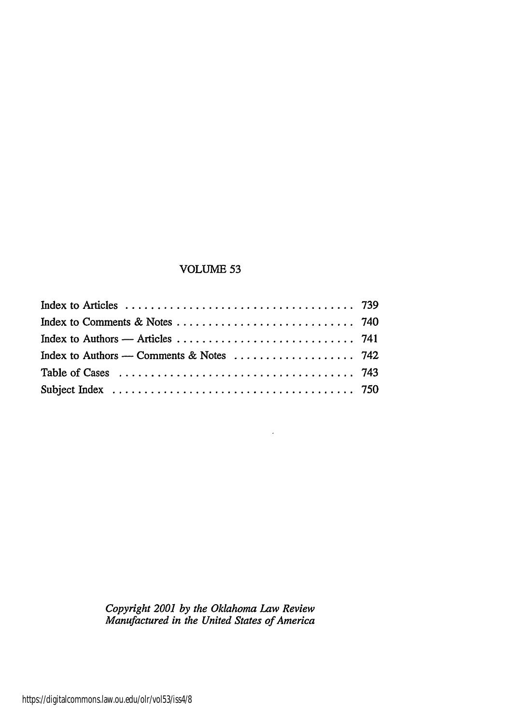#### VOLUME 53

| Index to Authors — Comments & Notes $\dots \dots \dots \dots \dots \dots$ 742 |  |
|-------------------------------------------------------------------------------|--|
|                                                                               |  |
|                                                                               |  |

*Copyright 2001 by the Oklahoma Law Review Manufactured in the United States of America*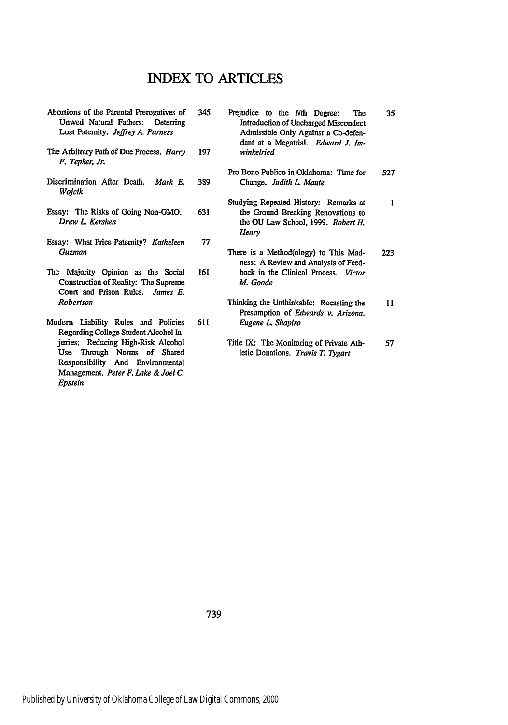#### **INDEX** TO ARTICLES

- Abortions of the Parental Prerogatives of Unwed Natural Fathers: Deterring Lost Paternity. *Jeffrey A. Parness*
- The Arbitrary Path of **Due** Process. *Hary F. Tepker, Jr.*
- Discrimination After Death. *Mark E. Wojcik*
- Essay: The Risks of Going Non-GMO. *Drew L Kershen*
- Essay: What Price Paternity? *Katheleen* **Guzman 77**
- The Majority Opinion as the Social Construction of Reality: The Supreme **Court** and Prison Rules. *James E. Robertson*
- Modem Liability Rules and Policies Regarding College Student Alcohol Injuries: Reducing High-Risk Alcohol Use Through Norms of Shared Responsibility And Environmental Management. *Peter F. Lake & Joel C. Epstein*
- 345 Prejudice to the Nth Degree: The 35 Introduction of Uncharged Misconduct Admissible Only Against a Co-defendant **at** a Megatrial. *Edward J. Im-***197** *winkelried* Pro Bono Publico in Oklahoma: Time for 527 **389** Change. *Judith L Maute* Studying Repeated History: Remarks at  $\mathbf{I}$ **631** the Ground Breaking Renovations to the **OU** Law School, **1999.** *Robert H. Henry* There is a Method(ology) to This Mad-223 ness: A Review and Analysis of Feed-**161** back in the Clinical Process. *Victor M. Goode* Thinking the Unthinkable: Recasting the 11 Presumption of *Edwards v. Arizona.* **611** *Eugene L Shapiro* Title IX: The Monitoring of Private Ath-57 letic Donations. *Travis T. Tygart*

739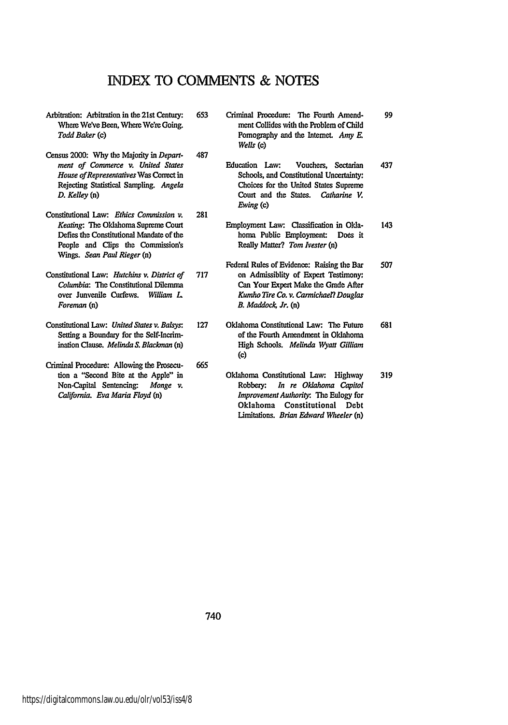## INDEX TO **COMMENTS & NOTES**

**281**

- Arbitration: Arbitration in the 21st Century: Where We've Been, Where We're Going. *Todd Baker* (c)
- Census 2000: **Why** the Majority in *Department of Commerce v. United States House ofRepresentatives* Was Conect in Rejecting Statistical Sampling. *Angela D. Kelley* (n) 487
- Constitutional Law: *Ethics Commission v. Keating:* The Oklahoma Supreme Court Defies the Constitutional Mandate of the People and Clips the Commission's Wings. *Sean Paul Rieger (n)*
- Constitutional Law: *Hutchins v. District of Columbia:* The Constitutional Dilemma over Junvenile Curfews. *William L Foreman* (n)
- Constitutional **Law:** *United States v. Balsys* Setting a Boundary for the Self-Incrimination Clause. *Melinda S. Blackman* (n)
- Criminal Procedure: Allowing the Prosecution a "Second Bite at the Apple" in Non-Capital Sentencing- *Monge v. California. Eva Maria Floyd (n)* **665**

653 Criminal Procedure: The Fourth Amendment Collides with the Problem of **Child** Pornography and the Intemet. *Amy E. Wells* (c)

99

- Education Law: Vouchers, Sectarian 437 Schools, and Constitutional Uncertainty: Choices for the United States Supreme Court and the States. *Catharine V. Ewing* (c)
- Employment Law: Classification in Okla-143 homa Public Employment: Does it Really Matter? *Tom Ivester (n)*
- Federal Rules of Evidence: Raising the Bar 507 **717** on Admissiblity of Expert Testimony: Can Your Expert Make the Grade After *Kumho Tire Co. v. Carmichael? Douglas B. Maddock Jr. (n)*
- **127** Oklahoma Constitutional Law: The Future 681 of the Fourth Amendment in Oklahoma High Schools. *Melinda Wyatt Gilliam* **(c)**
	- Oklahoma Constitutional Law: Highway 319 Robbery: *In re Oklahoma Capitol Improvement Authority.* The Eulogy for Oklahoma Constitutional Debt limitations. *Brian Edward Wheeler (n)*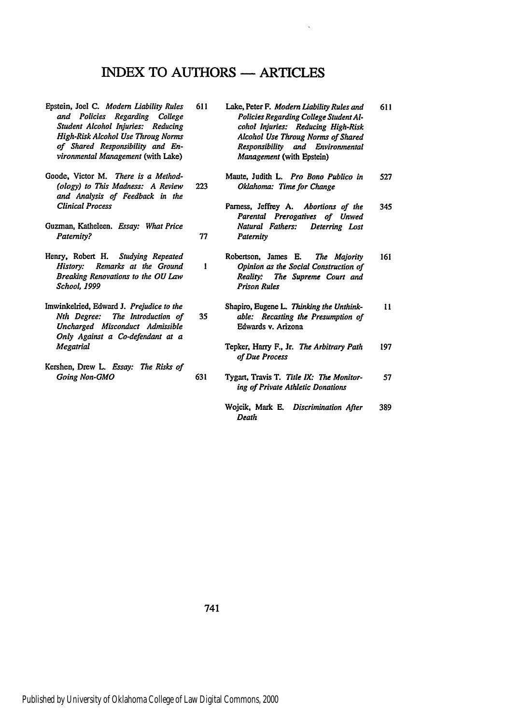## INDEX TO **AUTHORS -** ARTICLES

 $\mathbf{i}$ 

- Epstein, Joel **C.** *Modern Liability Rules and Policies Regarding College Student Alcohol Injuries: Reducing High-Risk Alcohol Use Throug Norms of Shared Responsibility and Environmental Management* (with Lake)
- Goode, Victor M. *There is a Method- (ology) to This Madness: A Review and Analysis of Feedback in the Clinical Process*
- Guzman, Katheleen. *Essay: What Price* Paternity?
- Henry, Robert H. *Studying Repeated History: Remarks at the Ground Breaking Renovations to the OU Law School, 1999*
- Imwinkelried, Edward **J.** *Prejudice to the Nth Degree: The Introduction of Uncharged Misconduct Admissible Only Against a Co-defendant at a Megatrial*
- Kershen, Drew **L.** *Essay: The Risks of Going Non-GMO*
- **611** Lake, Peter F. *Modern Liability Rules and* 611 *Policies Regarding College Student Alcohol Injuries: Reducing High-Risk Alcohol Use Throug Norms of Shared Responsibility and Environmental Management* (with Epstein)
- Maute, Judith L. *Pro Bono Publico in* 527 223 *Oklahoma: Time for Change*
- Pamess, Jeffrey A. *Abortions of the* 345 *Parental Prerogatives of Unwed Natural Fathers: Deterring Lost* 77 Paternity
	- Robertson, James **E.** *The Majority* 161 *Opinion as the Social Construction of Reality. The Supreme Court and Prison Rules*
- Shapiro, Eugene L. Thinking the Unthink- $11$ 35 *able: Recasting the Presumption of* Edwards v. Arizona
	- Tepker, Harry F., Jr. *The Arbitrary Path* 197 *of Due Process*
- 631 Tygart, Travis T. *Title IX: The Monitor-*57 *ing of Private Athletic Donations*
	- Wojcik, Mark **E.** *Discrimination After* 389 *Death*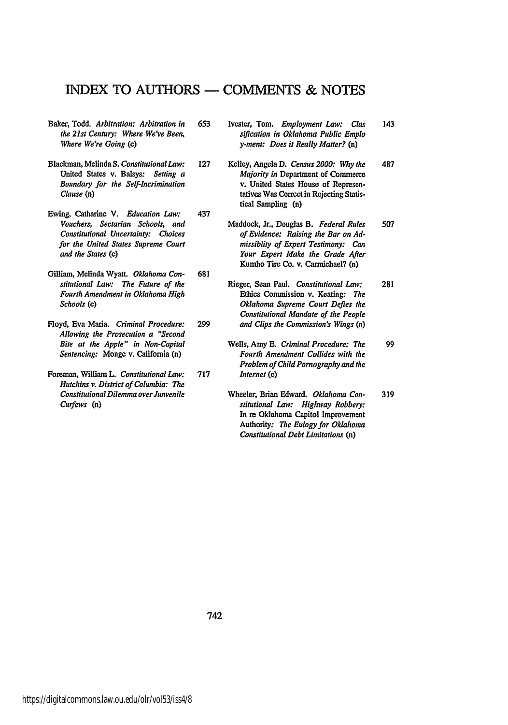## INDEX TO **AUTHORS - COMMENTS & NOTES**

- Baker, Todd. *Arbitration: Arbitration in the 21st Century: Where We've Been, Where We're Going* (c)
- Blackman, Melinda *S. Constitutional Law:* United States v. Balsys: *Setting a Boundary for the Self-Incrimination Clause* (n)
- Ewing, Catharine V. *Education* **Law:** *Vouchers, Sectarian Schools, and Constitutional Uncertainty: Choices for the United States Supreme Court and the States (c)* 437
- Gilliam, Melinda Wyatt. *Oklahoma Constitutional* Law: *The Future of the Fourth Amendment in Oklahoma High Schools (c)* **681**
- Floyd, Eva Maria. *Criminal Procedure: Allowing the Prosecution a "Second Bite at the Apple" in Non-Capital Sentencing:* Monge v. California (n)
- Foreman, William L. *Constitutional Law: Hutchins v. District of Columbia: The Constitutional Dilemma over Junvenile Curfews* (n)
- **653** Ivester, Tom. *Employment Law: Clas* 143 *sification in Oklahoma Public Emplo y-ment: Does it Really Matter?* (n)
- **127** Kelley, Angela **D.** *Census 2000: Why the* 487 *Majority in* Department of Commerce v. United States House of Representatives Was Correct in Rejecting Statistical Sampling (n)
	- Maddock, Jr., Douglas B. *Federal Rules* 507 *of Evidence: Raising the Bar on Admissiblity of Expert Testimony: Can Your Expert Make the Grade After* Kumho Tire Co. v. Carmichael? (n)
- Rieger, Sean Paul. *Constitutional Law:* 281 Ethics Commission v. Keating: *The Oklahoma Supreme Court Defies the Constitutional Mandate of the People* **299** *and Clips the Commission's Wings* (n)
- Wells, Amy **E.** *Criminal Procedure: The* 99 *Fourth Amendment Collides with the Problem of Child Pornography and the* **717** *Internet (c)*
	- Wheeler, Brian Edward. *Oklahoma Con-*319 *stitutional Law: Highway Robbery:* In re Oklahoma Capitol Improvement Authority: *The Eulogy for Oklahoma Constitutional Debt Limitations (n)*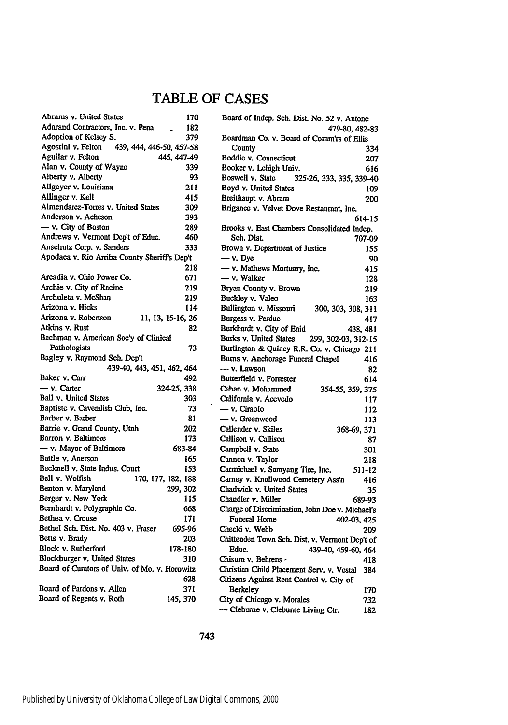# TABLE OF **CASES**

| Abrams v. United States                        | 170 |
|------------------------------------------------|-----|
| Adarand Contractors, Inc. v. Pena              | 182 |
| Adoption of Kelsey S.                          | 379 |
| Agostini v. Felton<br>439, 444, 446-50, 457-58 |     |
| Aguilar v. Felton<br>445, 447-49               |     |
| Alan v. County of Wayne                        | 339 |
| Alberty v. Alberty                             | 93  |
| Allgeyer v. Louisiana                          | 211 |
| Allinger v. Kell                               | 415 |
| Almendarez-Torres v. United States             | 309 |
| Anderson v. Acheson                            | 393 |
| $-$ v. City of Boston                          | 289 |
| Andrews v. Vermont Dep't of Educ.              | 460 |
| Anschutz Corp. v. Sanders                      | 333 |
| Apodaca v. Rio Arriba County Sheriff's Dep't   |     |
|                                                | 218 |
| Arcadia v. Ohio Power Co.                      | 671 |
| Archie v. City of Racine                       | 219 |
| Archuleta v. McShan                            | 219 |
| Arizona v. Hicks                               | 114 |
| Arizona v. Robertson<br>11, 13, 15-16, 26      |     |
| Atkins v. Rust                                 | 82  |
| Bachman v. American Soc'y of Clinical          |     |
| Pathologists                                   | 73  |
| Bagley v. Raymond Sch. Dep't                   |     |
| 439-40, 443, 451, 462, 464                     |     |
| Baker v. Carr                                  | 492 |
| - v. Carter<br>324-25, 338                     |     |
| Ball v. United States                          | 303 |
| Baptiste v. Cavendish Club, Inc.               | 73  |
| Barber v. Barber                               | 81  |
| Barrie v. Grand County, Utah                   |     |
| Barron v. Baltimore                            | 202 |
| - v. Mayor of Baltimore                        | 173 |
| 683-84                                         |     |
| Battle v. Anerson                              | 165 |
| Becknell v. State Indus. Court                 | 153 |
| Bell v. Wolfish<br>170, 177, 182, 188          |     |
| Benton v. Maryland<br>299, 302                 |     |
| Berger v. New York                             | 115 |
| Bernhardt v. Polygraphic Co.                   | 668 |
| Bethea v. Crouse                               | 171 |
| Bethel Sch. Dist. No. 403 v. Fraser<br>695-96  |     |
| Betts v. Brady                                 | 203 |
| Block v. Rutherford<br>178-180                 |     |
| Blockburger v. United States                   | 310 |
| Board of Curators of Univ. of Mo. v. Horowitz  |     |
|                                                | 628 |
| Board of Pardons v. Allen                      | 371 |
| Board of Regents v. Roth<br>145, 370           |     |
|                                                |     |

| Board of Indep. Sch. Dist. No. 52 v. Antone         |          |
|-----------------------------------------------------|----------|
| 479-80, 482-83                                      |          |
| Boardman Co. v. Board of Comm'rs of Ellis<br>County | 334      |
| Boddie v. Connecticut                               | 207      |
| Booker v. Lehigh Univ.                              | 616      |
| Boswell v. State<br>325-26, 333, 335, 339-40        |          |
| Boyd v. United States                               |          |
|                                                     | 109      |
| Breithaupt v. Abram                                 | 200      |
| Brigance v. Velvet Dove Restaurant, Inc.            |          |
|                                                     | 614-15   |
| Brooks v. East Chambers Consolidated Indep.         |          |
| Sch. Dist.                                          | 707-09   |
| Brown v. Department of Justice                      | 155      |
| $-$ v. Dye                                          | 90       |
| - v. Mathews Mortuary, Inc.                         | 415      |
| — v. Walker                                         | 128      |
| Bryan County v. Brown                               | 219      |
| Buckley v. Valeo                                    | 163      |
| Bullington v. Missouri<br>300, 303, 308, 311        |          |
| Burgess v. Perdue                                   | 417      |
| Burkhardt v. City of Enid                           | 438, 481 |
| Burks v. United States 299, 302-03, 312-15          |          |
| Burlington & Quincy R.R. Co. v. Chicago 211         |          |
| Burns v. Anchorage Funeral Chapel                   | 416      |
| - v. Lawson                                         | 82       |
| Butterfield v. Forrester                            | 614      |
| Caban v. Mohammed<br>354-55, 359, 375               |          |
| California v. Acevedo                               | 117      |
| - v. Ciraolo                                        | 112      |
| - v. Greenwood                                      | 113      |
| Callender v. Skiles                                 |          |
| 368-69, 371<br>Callison v. Callison                 |          |
|                                                     | 87       |
| Campbell v. State                                   | 301      |
| Cannon v. Taylor                                    | 218      |
| Carmichael v. Samyang Tire, Inc.                    | 511-12   |
| Carney v. Knollwood Cemetery Ass'n                  | 416      |
| Chadwick v. United States                           | 35       |
| Chandler v. Miller                                  | 689-93   |
| Charge of Discrimination, John Doe v. Michael's     |          |
| Funeral Home<br>402-03, 425                         |          |
| Checki v. Webb                                      | 209      |
| Chittenden Town Sch. Dist. v. Vermont Dep't of      |          |
| Educ.<br>439-40, 459-60, 464                        |          |
| Chisum v. Behrens -                                 | 418      |
| Christian Child Placement Serv. v. Vestal           | 384      |
| Citizens Against Rent Control v. City of            |          |
| Berkeley                                            | 170      |
| City of Chicago v. Morales                          | 732      |
| - Cleburne v. Cleburne Living Ctr.                  | 182      |

 $\ddot{\phantom{0}}$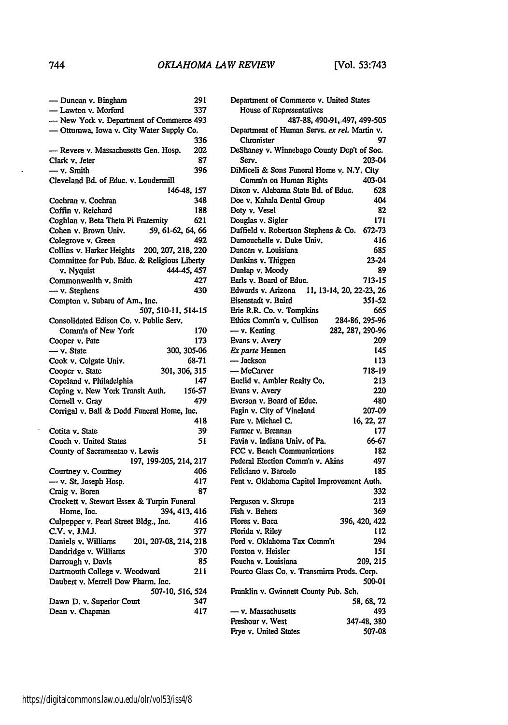| — Duncan v. Bingham                          | 291    |
|----------------------------------------------|--------|
| - Lawton v. Morford                          | 337    |
| - New York v. Department of Commerce 493     |        |
| - Ottumwa, Iowa v. City Water Supply Co.     |        |
|                                              | 336    |
| - Revere v. Massachusetts Gen. Hosp.         | 202    |
|                                              |        |
| Clark v. Jeter                               | 87     |
| $-$ v. Smith                                 | 396    |
| Cleveland Bd. of Educ. v. Loudermill         |        |
| 146-48, 157                                  |        |
| Cochran v. Cochran                           | 348    |
| Coffin y. Reichard                           | 188    |
| Coghlan v. Beta Theta Pi Fraternity          | 621    |
| Cohen v. Brown Univ.<br>59, 61-62, 64, 66    |        |
| Colegrove v. Green                           | 492    |
| Collins v. Harker Heights 200, 207, 218, 220 |        |
|                                              |        |
| Committee for Pub. Educ. & Religious Liberty |        |
| 444-45, 457<br>v. Nyquist                    |        |
| Commonwealth v. Smith                        | 427    |
| - v. Stephens                                | 430    |
| Compton v. Subaru of Am., Inc.               |        |
| 507, 510-11, 514-15                          |        |
| Consolidated Edison Co. v. Public Serv.      |        |
| Comm'n of New York                           | 170    |
| Cooper v. Pate                               | 173    |
| - v. State<br>300, 305-06                    |        |
|                                              | 68-71  |
| Cook v. Colgate Univ.                        |        |
| 301, 306, 315<br>Cooper v. State             |        |
| Copeland v. Philadelphia                     | 147    |
| Coping v. New York Transit Auth.             | 156-57 |
| Cornell v. Gray                              | 479    |
| Corrigal v. Ball & Dodd Funeral Home, Inc.   |        |
|                                              | 418    |
| Cotita v. State                              | 39     |
| Couch v. United States                       | 51     |
| County of Sacramentao v. Lewis               |        |
| 197, 199-205, 214, 217                       |        |
|                                              |        |
| Courtney v. Courtney                         | 406    |
| - v. St. Joseph Hosp.                        | 417    |
| Craig v. Boren                               | 87     |
| Crockett v. Stewart Essex & Turpin Funeral   |        |
| 394, 413, 416<br>Home, Inc.                  |        |
| Culpepper v. Pearl Street Bldg., Inc.        | 416    |
| C.V. v. J.M.J.                               | 377    |
| 201, 207-08, 214, 218<br>Daniels v. Williams |        |
| Dandridge v. Williams                        | 370    |
| Darrough v. Davis                            | 85     |
|                                              | 211    |
| Dartmouth College v. Woodward                |        |
| Daubert v. Merrell Dow Pharm. Inc.           |        |
| 507-10, 516, 524                             |        |
| Dawn D. v. Superior Court                    | 347    |
|                                              |        |
| Dean v. Chapman                              | 417    |

| Department of Commerce v. United States<br>House of Representatives |                  |
|---------------------------------------------------------------------|------------------|
| 487-88, 490-91, 497, 499-505                                        |                  |
| Department of Human Servs. ex rel. Martin v.                        |                  |
| Chronister                                                          | 97               |
| DeShaney v. Winnebago County Dep't of Soc.                          |                  |
| Serv.                                                               | 203-04           |
| DiMiceli & Sons Funeral Home v. N.Y. City                           |                  |
| Comm'n on Human Rights                                              | 403-04           |
| Dixon v. Alabama State Bd. of Educ.                                 | 628              |
| Doe v. Kahala Dental Group                                          | 404              |
| Doty v. Vesel                                                       | 82               |
| Douglas v. Sigler                                                   | 171              |
| Duffield v. Robertson Stephens & Co. 672-73                         |                  |
| Dumouchelle v. Duke Univ.                                           | 416              |
| Duncan v. Louisiana                                                 | 685              |
| Dunkins v. Thigpen                                                  | 23-24            |
| Dunlap v. Moody                                                     | 89               |
| Earls v. Board of Educ.                                             | 713-15           |
| Edwards v. Arizona<br>11, 13-14, 20, 22-23, 26                      |                  |
| Eisenstadt v. Baird                                                 | 351-52           |
| Erie R.R. Co. v. Tompkins                                           | 665              |
| Ethics Comm'n v. Cullison                                           | 284-86, 295-96   |
| — v. Keating                                                        | 282, 287, 290-96 |
| Evans v. Avery                                                      | 209              |
| Ex parte Hennen                                                     | 145              |
| - Jackson                                                           | 113              |
| -McCarver                                                           | 718-19           |
| Euclid v. Ambler Realty Co.                                         | 213              |
| Evans v. Avery                                                      | 220              |
| Everson v. Board of Educ.                                           | 480              |
| Fagin v. City of Vineland                                           | 207-09           |
| Fare v. Michael C.                                                  | 16, 22, 27       |
| Farmer v. Brennan                                                   | 177              |
|                                                                     |                  |
| Favia y, Indiana Univ, of Pa.                                       | 66-67            |
| FCC v. Beach Communications                                         | 182              |
| Federal Election Comm'n v. Akins                                    | 497              |
| Feliciano v. Barcelo                                                | 185              |
| Fent v. Oklahoma Capitol Improvement Auth.                          |                  |
|                                                                     | 332              |
| Ferguson v. Skrupa                                                  | 213              |
| Fish v. Behers                                                      | 369              |
| Flores v. Baca                                                      | 396, 420, 422    |
| Florida v. Rilev                                                    | 112              |
| Ford v. Oklahoma Tax Comm'n                                         | 294              |
| Forston v. Heisler                                                  | 151              |
| Foucha v. Louisiana                                                 | 209, 215         |
| Fourco Glass Co. v. Transmirra Prods. Corp.                         |                  |
|                                                                     | 500-01           |
| Franklin v. Gwinnett County Pub. Sch.                               |                  |
|                                                                     | 58, 68, 72       |
| $-$ v. Massachusetts                                                | 493              |
| Freshour v. West                                                    | 347-48, 380      |
| Frye v. United States                                               | 507-08           |

 $\ddot{\phantom{a}}$ 

 $\ddot{\phantom{a}}$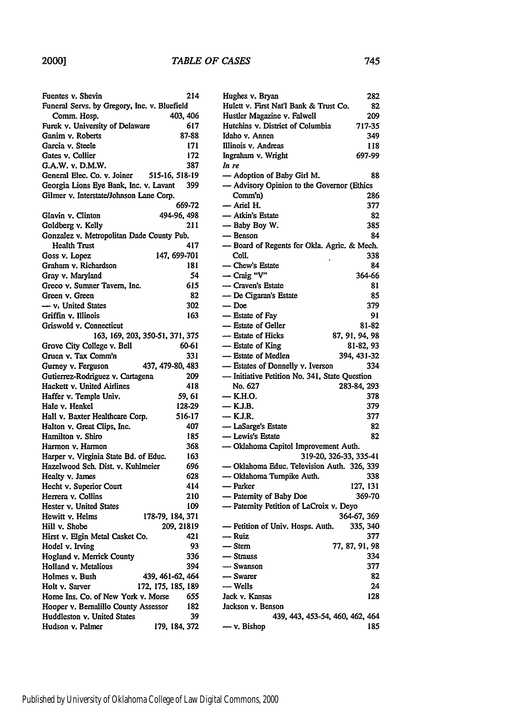## *TABLE OF CASES*

| Fuentes v. Shevin                            | 214         |
|----------------------------------------------|-------------|
| Funeral Servs. by Gregory, Inc. v. Bluefield |             |
| Comm. Hosp.                                  | 403, 406    |
| Furek v. University of Delaware              | 617         |
| Ganim v. Roberts                             | 87-88       |
| Garcia v. Steele                             | 171         |
| Gates v. Collier                             | 172         |
| G.A.W. v. D.M.W.                             | 387         |
| General Elec. Co. v. Joiner 515-16, 518-19   |             |
| Georgia Lions Eye Bank, Inc. v. Lavant       | 399         |
| Gilmer v. Interstate/Johnson Lane Corp.      |             |
|                                              | 669-72      |
| Glavin v. Clinton                            | 494-96, 498 |
| Goldberg v. Kelly                            | 211         |
| Gonzalez v. Metropolitan Dade County Pub.    |             |
| <b>Health Trust</b>                          | 417         |
| Goss v. Lopez<br>147, 699-701                |             |
| Graham v. Richardson                         | 181         |
| Gray v. Maryland                             | 54          |
| Greco v. Sumner Tavern, Inc.                 | 615         |
| Green v. Green                               | 82          |
| - v. United States                           | 302         |
| Griffin v. Illinois                          | 163         |
| Griswold v. Connecticut                      |             |
| 163, 169, 203, 350-51, 371, 375              |             |
| Grove City College v. Bell                   | 60-61       |
| Gruen v. Tax Comm'n                          | 331         |
| 437, 479-80, 483<br>Gurney v. Ferguson       |             |
| Gutierrez-Rodriguez v. Cartagena             | 209         |
| Hackett v. United Airlines                   | 418         |
| Haffer v. Temple Univ.                       | 59, 61      |
| Hale v. Henkel                               | 128-29      |
| Hall v. Baxter Healthcare Corp.              | 516-17      |
| Halton v. Great Clips, Inc.                  | 407         |
| Hamilton v. Shiro                            | 185         |
| Harmon v. Harmon                             | 368         |
| Harper v. Virginia State Bd. of Educ.        | 163         |
| Hazelwood Sch. Dist. v. Kuhlmeier            | 696         |
| Healty v. James                              | 628         |
| Hecht v. Superior Court                      | 414         |
| Herrera v. Collins                           | 210         |
| Hester v. United States                      | 109         |
| Hewitt v. Helms<br>178-79, 184, 371          |             |
| Hill v. Shobe                                | 209, 21819  |
| Hirst v. Elgin Metal Casket Co.              | 421         |
| Hodel v. Irving                              | 93          |
| Hogland v. Merrick County                    | 336         |
| Holland v. Metalious                         | 394         |
| Holmes v. Bush<br>439, 461-62, 464           |             |
| Holt v. Sarver<br>172, 175, 185, 189         |             |
| Home Ins. Co. of New York v. Morse           | 655         |
| Hooper v. Bernalillo County Assessor         | 182         |
| Huddleston v. United States                  | 39          |
| Hudson v. Palmer<br>179, 184, 372            |             |
|                                              |             |

| Hulett v. First Nat'l Bank & Trust Co.<br>82  |
|-----------------------------------------------|
| Hustler Magazine v. Falwell<br>209            |
| Hutchins v. District of Columbia<br>717-35    |
| Idaho v. Annen<br>349                         |
| Illinois v. Andreas<br>118                    |
| Ingraham v. Wright<br>697-99                  |
| In re                                         |
| - Adoption of Baby Girl M.<br>88              |
| - Advisory Opinion to the Governor (Ethics    |
| Comm <sub>1</sub><br>286                      |
| - Ariel H.<br>377                             |
| — Atkin's Estate<br>82                        |
| - Baby Boy W.<br>385                          |
| - Benson<br>84                                |
| - Board of Regents for Okla. Agric. & Mech.   |
| 338<br>Coll.                                  |
| - Chew's Estate<br>84                         |
| - Craig "V"<br>364-66                         |
| - Craven's Estate<br>81                       |
| - De Cigaran's Estate<br>85                   |
| $-$ Doe<br>379                                |
| - Estate of Fay<br>91                         |
| - Estate of Geller                            |
| 81-82<br>- Estate of Hicks                    |
| 87, 91, 94, 98                                |
| - Estate of King<br>81-82, 93                 |
| - Estate of Medlen<br>394.431-32              |
| - Estates of Donnelly v. Iverson<br>334       |
| - Initiative Petition No. 341, State Question |
| No. 627<br>283-84, 293                        |
|                                               |
| — K.H.O.<br>378                               |
| — K.J.B.<br>379                               |
| $-KJ.R.$<br>377                               |
| - LaSarge's Estate<br>82                      |
| - Lewis's Estate<br>82                        |
| - Oklahoma Capitol Improvement Auth.          |
| 319-20, 326-33, 335-41                        |
| - Oklahoma Educ. Television Auth. 326, 339    |
| - Oklahoma Turnpike Auth.<br>338              |
| - Parker<br>127, 131                          |
| - Paternity of Baby Doe<br>369-70             |
| - Paternity Petition of LaCroix v. Deyo       |
| 364-67, 369                                   |
| - Petition of Univ. Hosps. Auth.<br>335, 340  |
| — Ruiz<br>377                                 |
| 77, 87, 91, 98<br>- Stern                     |
| 334<br>— Strauss                              |
| - Swanson<br>377                              |
| 82<br>— Swarer                                |
| — Wells<br>24                                 |
| Jack v. Kansas<br>128                         |
| Jackson v. Benson                             |
| 439, 443, 453-54, 460, 462, 464               |
| — ν. Bishop<br>185                            |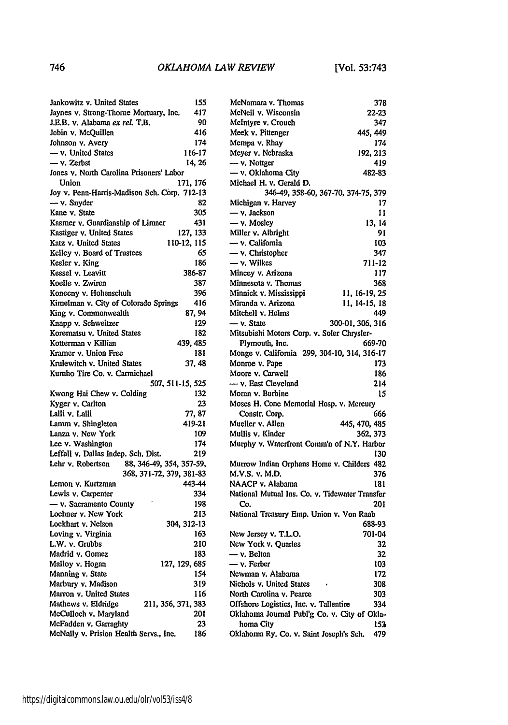| Jankowitz v. United States                    | 155           |
|-----------------------------------------------|---------------|
| Jaynes v. Strong-Thorne Mortuary, Inc.        | 417           |
| J.E.B. v. Alabama ex rel. T.B.                | 90            |
| Jobin v. McQuillen                            | 416           |
| Johnson v. Avery                              | 174           |
| - v. United States                            | 116-17        |
| - v. Zerbst                                   | 14.26         |
| Jones v. North Carolina Prisoners' Labor      |               |
| Union                                         | 171, 176      |
| Joy v. Penn-Harris-Madison Sch. Corp. 712-13  |               |
| - v. Snyder                                   | 82            |
| Kane v. State                                 | 305           |
| Kasmer v. Guardianship of Limner              | 431           |
| Kastiger v. United States                     | 127, 133      |
| Katz v. United States                         | 110-12, 115   |
| Kelley v. Board of Trustees                   | 65            |
| Kesler v. King                                | 186           |
| Kessel v. Leavitt                             | 386-87        |
| Koelle v. Zwiren                              | 387           |
| Konecny v. Hohenschuh                         | 396           |
| Kimelman v. City of Colorado Springs          | 416           |
| King v. Commonwealth                          | 87, 94        |
| Knapp v. Schweitzer                           | 129           |
| Korematsu v. United States                    | 182           |
| Kotterman v Killian                           | 439.485       |
| Kramer v. Union Free                          | 181           |
| Krulewitch v. United States                   | 37.48         |
| Kumho Tire Co. v. Carmichael                  |               |
| 507, 511-15, 525                              |               |
| Kwong Hai Chew v. Colding                     | 132           |
| Kyger v. Carlton                              | 23            |
| Lalli v. Lalli                                | 77, 87        |
| Lamm v. Shingleton                            | 419-21        |
| Lanza v. New York                             | 109           |
| Lee v. Washington                             | 174           |
| Leffall v. Dallas Indep. Sch. Dist.           | 219           |
| Lehr v. Robertson<br>88, 346-49, 354, 357-59, |               |
| 368, 371-72, 379, 381-83                      |               |
| Lemon v. Kurtzman                             | 443-44        |
| Lewis v. Carpenter                            | 334           |
| - v. Sacramento County                        | 198           |
| Lochner v. New York                           | 213           |
| Lockhart v. Nelson                            | 304, 312-13   |
| Loving v. Virginia                            | 163           |
| L.W. v. Grubbs                                | 210           |
| Madrid v. Gomez                               | 183           |
| Malloy v. Hogan                               | 127, 129, 685 |
| Manning v. State                              | 154           |
| Marbury v. Madison                            | 319           |
| Marron v. United States                       | 116           |
| Mathews v. Eldridge<br>211, 356, 371, 383     |               |
| McCulloch v. Maryland                         | 201           |
| McFadden v. Garraghty                         | 23            |
| McNally v. Prision Health Servs., Inc.        | 186           |
|                                               |               |

| McNeil v. Wisconsin                                  | 22-23            |
|------------------------------------------------------|------------------|
| McIntyre v. Crouch                                   | 347              |
| Meek v. Pittenger                                    | 445, 449         |
| Mempa v. Rhay                                        | 174              |
| Meyer v. Nebraska                                    | 192, 213         |
| - v. Nottger                                         | 419              |
| - v. Oklahoma City                                   | 482-83           |
| Michael H. v. Gerald D.                              |                  |
| 346-49, 358-60, 367-70, 374-75, 379                  |                  |
| Michigan v. Harvey                                   | 17               |
| - v. Jackson                                         | 11               |
| - v. Mosley                                          | 13, 14           |
| Miller v. Albright                                   | 91               |
| — v. California                                      | 103              |
| $-$ v. Christopher                                   | 347              |
| - v. Wilkes                                          | 711-12           |
|                                                      | 117              |
| Mincey v. Arizona                                    |                  |
| Minnesota v. Thomas                                  | 368              |
| Minnick v. Mississippi                               | 11, 16-19, 25    |
| Miranda v. Arizona                                   | 11, 14-15, 18    |
| Mitchell v. Helms                                    | 449              |
| - v. State                                           | 300-01, 306, 316 |
| Mitsubishi Motors Corp. v. Soler Chrysler-           |                  |
| Plymouth, Inc.                                       | 669-70           |
| Monge v. California 299, 304-10, 314, 316-17         |                  |
| Monroe v. Pape                                       | 173              |
| Moore v. Carwell                                     | 186              |
| - v. East Cleveland                                  | 214              |
| Moran v. Burbine                                     | 15               |
| Moses H. Cone Memorial Hosp. v. Mercury              |                  |
| Constr. Corp.                                        | 666              |
| Mueller v. Allen                                     | 445, 470, 485    |
| Mullis v. Kinder                                     | 362, 373         |
| Murphy v. Waterfront Comm'n of N.Y. Harbor           |                  |
|                                                      | 130              |
| Murrow Indian Orphans Home v. Childers 482           |                  |
| M.V.S. v. M.D.                                       | 376              |
| NAACP v. Alabama                                     | 181              |
| National Mutual Ins. Co. v. Tidewater Transfer       |                  |
| Co.                                                  | 201              |
| National Treasury Emp. Union v. Von Raab             |                  |
|                                                      | 688-93           |
| New Jersey v. T.L.O.                                 | 701-04           |
| New York v. Quarles                                  | 32               |
| $-$ v. Belton                                        | 32               |
| - v. Ferber                                          | 103              |
| Newman v. Alabama                                    | 172              |
| Nichols v. United States                             |                  |
|                                                      | 308              |
| North Carolina v. Pearce                             | 303              |
| Offshore Logistics, Inc. v. Tallentire               |                  |
|                                                      | 334              |
| Oklahoma Journal Publ'g Co. v. City of Okla-         |                  |
| homa City<br>Oklahoma Ry. Co. v. Saint Joseph's Sch. | 153<br>479       |

McNamara v. Thomas **378**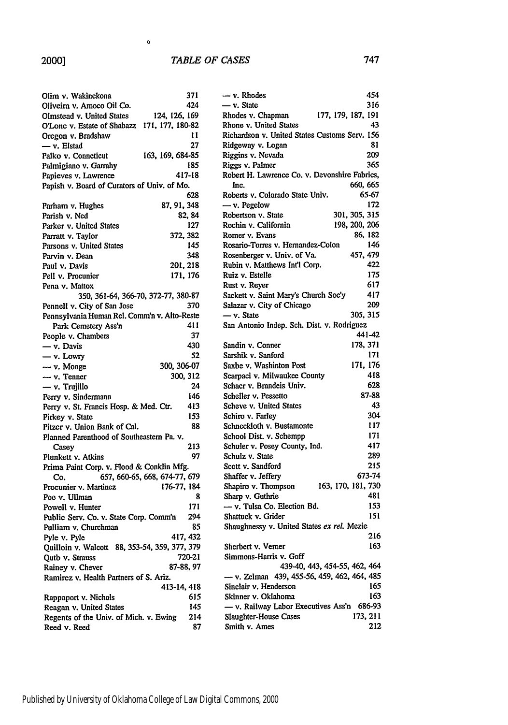#### *TABLE OF CASES*

 $\mathbf{o}$ 

| Olim v. Wakinekona                              | 371                           |
|-------------------------------------------------|-------------------------------|
| Oliveira v. Amoco Oil Co.                       | 424                           |
| Olmstead v. United States                       | 124, 126, 169                 |
| O'Lone v. Estate of Shabazz 171, 177, 180-82    |                               |
| Oregon v. Bradshaw                              | 11                            |
| - v. Elstad                                     | 27                            |
| Palko v. Conneticut                             | 163, 169, 684-85              |
| Palmigiano v. Garrahy                           | 185                           |
| Papieves v. Lawrence                            | 417-18                        |
| Papish v. Board of Curators of Univ. of Mo.     |                               |
|                                                 | 628                           |
|                                                 | 87, 91, 348                   |
| Parham v. Hughes                                |                               |
| Parish v. Ned                                   | 82, 84                        |
| Parker v. United States                         | 127                           |
| Parratt v. Taylor                               | 372, 382                      |
| Parsons v. United States                        | 145                           |
| Parvin v. Dean                                  | 348                           |
| Paul v. Davis                                   | 201, 218                      |
| Pell v. Procunier                               | 171, 176                      |
| Pena v. Mattox                                  |                               |
| 350, 361-64, 366-70, 372-77, 380-87             |                               |
| Pennell v. City of San Jose                     | 370                           |
| Pennsylvania Human Rel. Comm'n v. Alto-Reste    |                               |
| Park Cemetery Ass'n                             | 411                           |
| People v. Chambers                              | 37                            |
| — v. Davis                                      | 430                           |
| — v. Lowry                                      | 52                            |
| - v. Monge                                      | 300, 306-07                   |
| $-\mathbf{v}$ . Tenner                          | 300, 312                      |
| — v. Trujillo                                   | 24                            |
| Perry v. Sindermann                             | 146                           |
| Perry v. St. Francis Hosp. & Med. Ctr.          | 413                           |
| Pirkey v. State                                 | 153                           |
| Pitzer v. Union Bank of Cal.                    | 88                            |
| Planned Parenthood of Southeastern Pa. v.       |                               |
|                                                 | 213                           |
| Casey                                           | 97                            |
| Plunkett v. Atkins                              |                               |
| Prima Paint Corp. v. Flood & Conklin Mfg.       |                               |
| Co.                                             | 657, 660-65, 668, 674-77, 679 |
| Procunier v. Martinez                           | 176-77, 184                   |
| Poe v. Ullman                                   | 8                             |
| Powell v. Hunter                                | 171                           |
| Public Serv. Co. v. State Corp. Comm'n          | 294                           |
| Pulliam v. Churchman                            | 85                            |
| Pyle v. Pyle                                    | 417, 432                      |
| Quilloin v. Walcott 88, 353-54, 359, 377, 379   |                               |
| Qutb v. Strauss                                 | 720-21                        |
| Rainey v. Chever                                | 87-88, 97                     |
| Ramirez v. Health Partners of S. Ariz.          |                               |
|                                                 | 413-14, 418                   |
|                                                 |                               |
|                                                 | 615                           |
| Rappaport v. Nichols<br>Reagan v. United States | 145                           |
| Regents of the Univ. of Mich. v. Ewing          | 214                           |

| — v. Rhodes                                   | 454                           |
|-----------------------------------------------|-------------------------------|
| - v. State                                    | 316                           |
| Rhodes v. Chapman                             | 177, 179, 187, 191            |
| Rhone v. United States                        | 43                            |
| Richardson v. United States Customs Serv. 156 |                               |
| Ridgeway v. Logan                             | 81                            |
| Riggins v. Nevada                             | 209                           |
| Riggs v. Palmer                               | 365                           |
| Robert H. Lawrence Co. v. Devonshire Fabrics, |                               |
| Inc.                                          | 660, 665                      |
| Roberts v. Colorado State Univ.               | 65-67                         |
| $-$ v. Pegelow                                | 172                           |
| Robertson v. State                            | 301, 305, 315                 |
| Rochin v. California                          | 198, 200, 206                 |
|                                               |                               |
| Romer v. Evans                                | 86, 182                       |
| Rosario-Torres v. Hernandez-Colon             | 146                           |
| Rosenberger v. Univ. of Va.                   | 457, 479                      |
| Rubin v. Matthews Int'l Corp.                 | 422                           |
| Ruiz v. Estelle                               | 175                           |
| Rust v. Reyer                                 | 617                           |
| Sackett v. Saint Mary's Church Soc'y          | 417                           |
| Salazar v. City of Chicago                    | 209                           |
| $-$ v. State                                  | 305, 315                      |
| San Antonio Indep. Sch. Dist. v. Rodriguez    |                               |
|                                               | 441-42                        |
| Sandin v. Conner                              | 178, 371                      |
| Sarshik v. Sanford                            | 171                           |
| Saxbe v. Washinton Post                       | 171, 176                      |
| Scarpaci v. Milwaukee County                  | 418                           |
| Schaer v. Brandeis Univ.                      | 628                           |
| Scheller v. Pessetto                          | 87-88                         |
| Scheve v. United States                       | 43                            |
| Schiro v. Farley                              | 304                           |
| Schneckloth v. Bustamonte                     | 117                           |
|                                               | 171                           |
| School Dist. v. Schempp                       |                               |
| Schuler v. Posey County, Ind.                 | 417                           |
| Schulz v. State                               | 289                           |
| Scott v. Sandford                             | 215                           |
| Shaffer v. Jeffery                            | 673-74                        |
| Shapiro v. Thompson                           | 163, 170, 181, 730            |
| Sharp v. Guthrie                              | 481                           |
| — v. Tulsa Co. Election Bd.                   | 153                           |
| Shattuck v. Grider                            | 151                           |
| Shaughnessy v. United States ex rel. Mezie    |                               |
|                                               | 216                           |
| Sherbert v. Verner                            | 163                           |
| Simmons-Harris v. Goff                        |                               |
|                                               | 439-40, 443, 454-55, 462, 464 |
| - v. Zelman 439, 455-56, 459, 462, 464, 485   |                               |
| Sinclair v. Henderson                         | 165                           |
| Skinner v. Oklahoma                           | 163                           |
| - v. Railway Labor Executives Ass'n           | 686-93                        |
| Slaughter-House Cases                         | 173, 211                      |
| Smith v. Ames                                 | 212                           |
|                                               |                               |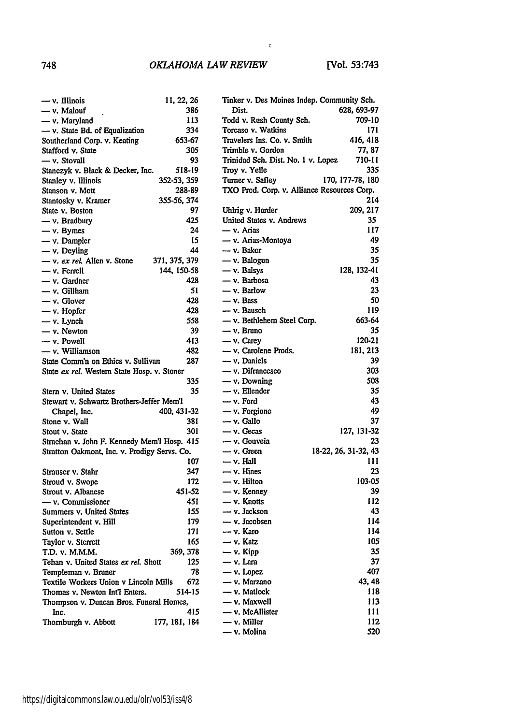#### *OKLAHOMA LAW REVIEW*

 $\mathbf{c}$ 

| $-\mathsf{v}$ . Illinois                     | 11, 22, 26    |
|----------------------------------------------|---------------|
| — v. Malouf                                  | 386           |
| - v. Maryland                                | 113           |
| - v. State Bd. of Equalization               | 334           |
| Southerland Corp. v. Keating                 | 653-67        |
| Stafford v. State                            | 305           |
| - v. Stovall                                 | 93            |
| Stanczyk v. Black & Decker, Inc.             | 518-19        |
| Stanley v. Illinois                          | 352-53, 359   |
| Stanson v. Mott                              | 288-89        |
| Stantosky v. Kramer                          | 355-56, 374   |
| State v. Boston                              | 97            |
| — v. Bradbury                                | 425           |
| $-$ v. Bymes                                 | 24            |
| — v. Dampier                                 | 15            |
| $-$ v. Deyling                               | 44            |
| - v. ex rel. Allen v. Stone                  | 371, 375, 379 |
|                                              |               |
| — v. Ferrell                                 | 144, 150-58   |
| - v. Gardner                                 | 428           |
| — v. Gillham                                 | 51            |
| - v. Glover                                  | 428           |
| - v. Hopfer                                  | 428           |
| - v. Lynch                                   | 558           |
| - v. Newton                                  | 39            |
| - v. Powell                                  | 413           |
| - v. Williamson                              | 482           |
| State Comm'n on Ethics v. Sullivan           | 287           |
| State ex rel. Western State Hosp. v. Stoner  |               |
|                                              | 335           |
| Stern v. United States                       | 35            |
| Stewart v. Schwartz Brothers-Jeffer Mem'l    |               |
| Chapel, Inc.                                 | 400, 431-32   |
| Stone v. Wall                                | 381           |
| Stout v. State                               | 301           |
| Strachan v. John F. Kennedy Mem'l Hosp. 415  |               |
|                                              |               |
|                                              |               |
| Stratton Oakmont, Inc. v. Prodigy Servs. Co. |               |
|                                              | 107           |
| Strauser v. Stahr                            | 347           |
| Stroud v. Swope                              | 172           |
| Strout v. Albanese                           | 451-52        |
| — v. Commissioner                            | 451           |
| Summers v. United States                     | 155           |
| Superintendent v. Hill                       | 179           |
| Sutton v. Settle                             | 171           |
| Taylor v. Sterrett                           | 165           |
| T.D. v. M.M.M.                               | 369, 378      |
| Tehan v. United States ex rel. Shott         | 125           |
| Templeman v. Bruner                          | 78            |
| Textile Workers Union v Lincoln Mills        | 672           |
| Thomas v. Newton Int'l Enters.               | 514-15        |
| Thompson v. Duncan Bros. Funeral Homes,      |               |
| Inc.                                         | 415           |
| Thornburgh v. Abbott                         | 177, 181, 184 |

| Tinker v. Des Moines Indep. Community Sch.  |                      |
|---------------------------------------------|----------------------|
| Dist.                                       | 628, 693-97          |
| Todd v. Rush County Sch.                    | 709-10               |
| Torcaso v. Watkins                          | 171                  |
| Travelers Ins. Co. v. Smith                 | 416, 418             |
| Trimble v. Gordon                           | 77, 87               |
| Trinidad Sch. Dist. No. 1 v. Lopez          | 710-11               |
| Troy v. Yelle                               | 335                  |
| Turner v. Safley                            | 170, 177-78, 180     |
| TXO Prod. Corp. v. Alliance Resources Corp. |                      |
|                                             | 214                  |
| Uhlrig v. Harder                            | 209, 217             |
| United States v. Andrews                    | 35                   |
| - v. Arias                                  | 117                  |
| - v. Arias-Montoya                          | 49                   |
| — v. Baker                                  | 35                   |
| - v. Balogun                                | 35                   |
| - v. Balsys                                 | 128, 132-41          |
| - v. Barbosa                                | 43                   |
| - v. Barlow                                 | 23                   |
| - v. Bass                                   | 50                   |
| - v. Bausch                                 | 119                  |
| - v. Bethlehem Steel Corp.                  | 663-64               |
| — v. Bruno                                  | 35                   |
| - v. Carey                                  | 120-21               |
| - v. Carolene Prods.                        | 181, 213             |
| - v. Daniels                                | 39                   |
| - v. Difrancesco                            | 303                  |
| $-$ v. Downing                              | 508                  |
| - v. Ellender                               | 35                   |
| - v. Ford                                   | 43                   |
| - v. Forgione                               | 49                   |
| - v. Gallo                                  | 37                   |
| - v. Gecas                                  | 127, 131-32          |
| - v. Gouveia                                | 23                   |
| - v. Green                                  | 18-22, 26, 31-32, 43 |
| $-$ v. Hall                                 | 111                  |
| $-$ v. Hines                                | 23                   |
| - v. Hilton                                 | 103-05               |
| - v. Kenney                                 | 39                   |
| - v. Knotts                                 | 112                  |
| - v. Jackson                                | 43                   |
| - v. Jacobsen                               | 114                  |
| - v. Karo                                   | 114                  |
|                                             | 105                  |
| — v. Katz<br>$-$ v. Kipp                    |                      |
| — v. Lara                                   | 35<br>37             |
| $-$ v. Lopez                                | 407                  |
| — v. Marzano                                | 43, 48               |
| — v. Matlock                                | 118                  |
| — v. Maxwell                                | 113                  |
| — v. McAllister                             | 111                  |
| — v. Miller                                 | 112                  |
| — v. Molina                                 | 520                  |
|                                             |                      |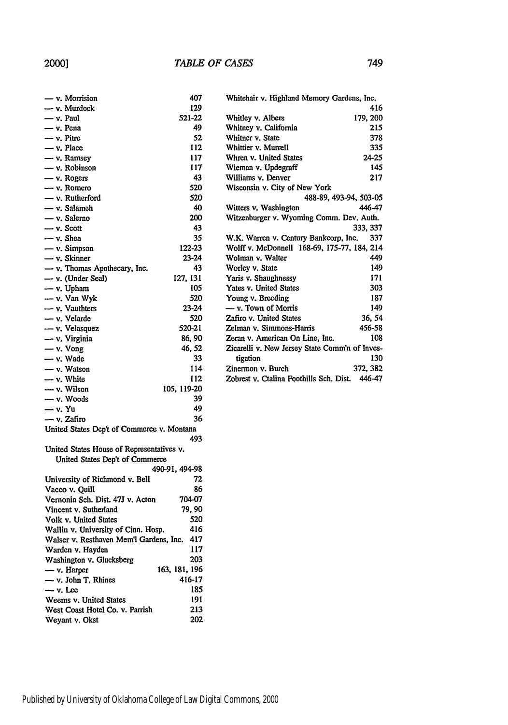| — v. Morrision                             | 407            |
|--------------------------------------------|----------------|
| - v. Murdock                               | 129            |
| — v. Paul                                  | 521-22         |
| — v. Pena                                  | 49             |
| - v. Pitre                                 | 52             |
| $-$ v. Place                               | 112            |
| - v. Ramsey                                | 117            |
| - v. Robinson                              | 117            |
| - v. Rogers                                | 43             |
| — v. Romero                                | 520            |
| - v. Rutherford                            | 520            |
| — v. Salameh                               | 40             |
| — v. Salerno                               | 200            |
| - v. Scott                                 | 43             |
| - v. Shea                                  | 35             |
|                                            |                |
| - v. Simpson                               | 122-23         |
| $-$ v. Skinner                             | 23-24          |
| - v. Thomas Apothecary, Inc.               | 43             |
| - v. (Under Seal)                          | 127, 131       |
| - v. Upham                                 | 105            |
| - v. Van Wyk                               | 520            |
| $-$ v. Vauthters                           | 23-24          |
| - v. Velarde                               | 520            |
| - v. Velasquez                             | 520-21         |
| — v. Virginia                              | 86, 90         |
| $-$ v. Vong                                | 46, 52         |
| - v. Wade                                  | 33             |
| - v. Watson                                | 114            |
| - v. White                                 | 112            |
| — ν. Wilson                                | 105, 119-20    |
| - v. Woods                                 | 39             |
| — v. Yu                                    | 49             |
| — v. Zafiro                                | 36             |
| United States Dep't of Commerce v. Montana |                |
|                                            | 493            |
| United States House of Representatives v.  |                |
| United States Dep't of Commerce            |                |
|                                            | 490-91, 494-98 |
| University of Richmond v. Bell             | 72             |
| Vacco v. Quill                             | 86             |
| Vernonia Sch. Dist. 47J v. Acton           | 704-07         |
| Vincent v. Sutherland                      | 79.90          |
| Volk v. United States                      | 520            |
|                                            | 416            |
| Wallin v. University of Cinn. Hosp.        | 417            |
| Walser v. Resthaven Mem'l Gardens, Inc.    |                |
| Warden v. Hayden                           | 117            |
| Washington v. Glucksberg                   | 203            |
| - v. Harper                                | 163, 181, 196  |
| - v. John T. Rhines                        | 416-17         |
| - v. Lee                                   | 185            |
| Weems v. United States                     | 191            |
| West Coast Hotel Co. v. Parrish            | 213            |
| Weyant v. Okst                             | 202            |

| Whitehair v. Highland Memory Gardens, Inc.     |          |
|------------------------------------------------|----------|
|                                                | 416      |
| Whitley v. Albers                              | 179, 200 |
| Whitney v. California                          | 215      |
| Whitner v. State                               | 378      |
| Whittier v. Murrell                            | 335      |
| Whren v. United States                         | 24-25    |
| Wieman v. Updegraff                            | 145      |
| Williams v. Denver                             | 217      |
| Wisconsin v. City of New York                  |          |
| 488-89, 493-94, 503-05                         |          |
| Witters v. Washington                          | 446-47   |
| Witzenburger v. Wyoming Comm. Dev. Auth.       |          |
|                                                | 333, 337 |
| W.K. Warren v. Century Bankcorp, Inc. 337      |          |
| Wolff v. McDonnell 168-69, 175-77, 184, 214    |          |
| Wolman v. Walter                               | 449      |
| Worley v. State                                | 149      |
| Yaris v. Shaughnessy                           | 171      |
| Yates v. United States                         | 303      |
| Young v. Breeding                              | 187      |
| — v. Town of Morris                            | 149      |
| Zafiro v. United States                        | 36, 54   |
| Zelman v. Simmons-Harris                       | 456-58   |
| Zeran v. American On Line, Inc.                | 108      |
| Zicarelli v. New Jersey State Comm'n of Inves- |          |
| tigation                                       | 130      |
| Zinermon v. Burch                              | 372, 382 |
| Zobrest v. Ctalina Foothills Sch. Dist. 446-47 |          |
|                                                |          |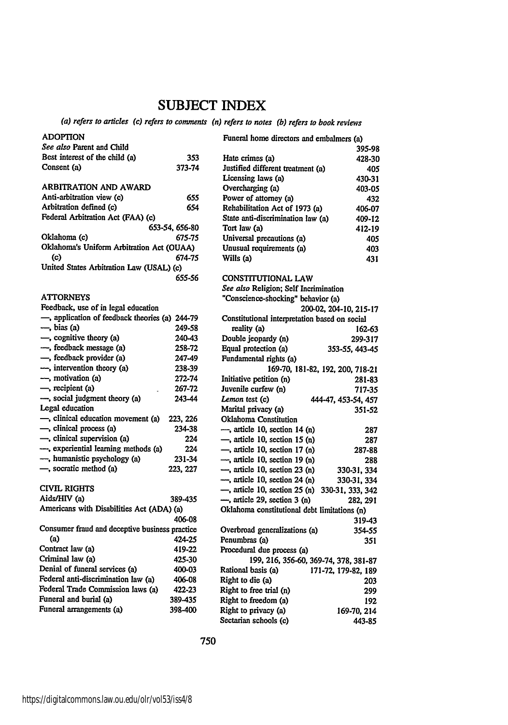## **SUBJECT** INDEX

## *(a) refers to articles (c) refers to comments (n) refers to notes* **(b)** *refers to book reviews*

| <b>ADOPTION</b>                                |                | Funeral home directors and embalmers (a)       |                        |
|------------------------------------------------|----------------|------------------------------------------------|------------------------|
| See also Parent and Child                      |                |                                                | 395-98                 |
| Best interest of the child (a)                 | 353            | Hate crimes (a)                                | 428-30                 |
| Consent (a)                                    | 373-74         | Justified different treatment (a)              | 405                    |
|                                                |                | Licensing laws (a)                             | 430-31                 |
| ARBITRATION AND AWARD                          |                | Overcharging (a)                               | 403-05                 |
| Anti-arbitration view (c)                      | 655            | Power of attorney (a)                          | 432                    |
| Arbitration defined (c)                        | 654            | Rehabilitation Act of 1973 (a)                 | 406-07                 |
| Federal Arbitration Act (FAA) (c)              |                | State anti-discrimination law (a)              | 409-12                 |
|                                                | 653-54, 656-80 | Tort law (a)                                   | 412-19                 |
| Oklahoma (c)                                   | 675-75         | Universal precautions (a)                      | 405                    |
| Oklahoma's Uniform Arbitration Act (OUAA)      |                | Unusual requirements (a)                       | 403                    |
| $\left( c \right)$                             | 674-75         | Wills (a)                                      | 431                    |
| United States Arbitration Law (USAL) (c)       |                |                                                |                        |
|                                                | 655-56         | <b>CONSTITUTIONAL LAW</b>                      |                        |
|                                                |                | See also Religion; Self Incrimination          |                        |
| <b>ATTORNEYS</b>                               |                | "Conscience-shocking" behavior (a)             |                        |
| Feedback, use of in legal education            |                |                                                | 200-02, 204-10, 215-17 |
| -, application of feedback theories (a) 244-79 |                | Constitutional interpretation based on social  |                        |
| $\rightarrow$ bias (a)                         | 249-58         | reality (a)                                    | 162-63                 |
| -, cognitive theory (a)                        | 240-43         | Double jeopardy (n)                            | 299-317                |
| -, feedback message (a)                        | 258-72         | Equal protection (a)                           | 353-55, 443-45         |
| -, feedback provider (a)                       | 247-49         | Fundamental rights (a)                         |                        |
| -, intervention theory (a)                     | 238-39         | 169-70, 181-82, 192, 200, 718-21               |                        |
| -, motivation (a)                              | 272-74         | Initiative petition (n)                        | 281-83                 |
| -, recipient (a)                               | 267-72         | Juvenile curfew (n)                            | 717-35                 |
| -, social judgment theory (a)                  | 243-44         | Lemon test (c)                                 | 444-47, 453-54, 457    |
| Legal education                                |                | Marital privacy (a)                            | 351-52                 |
| -, clinical education movement (a)             | 223, 226       | <b>Oklahoma</b> Constitution                   |                        |
| -, clinical process (a)                        | 234-38         | $\rightarrow$ , article 10, section 14 (n)     | 287                    |
| -, clinical supervision (a)                    | 224            | $-$ , article 10, section 15 (n)               | 287                    |
| -, experiential learning methods (a)           | 224            | $\rightarrow$ , article 10, section 17 (n)     | 287-88                 |
| -, humanistic psychology (a)                   | 231-34         | $-$ , article 10, section 19 (n)               | 288                    |
| -, socratic method (a)                         | 223, 227       | $-$ , article 10, section 23 (n)               | 330-31, 334            |
|                                                |                | $-$ , article 10, section 24 (n)               | 330-31, 334            |
| <b>CIVIL RIGHTS</b>                            |                | -, article 10, section 25 (n) 330-31, 333, 342 |                        |
| Aids/HIV (a)                                   | 389-435        | -, article 29, section 3 (n)                   | 282, 291               |
| Americans with Disabilities Act (ADA) (a)      |                | Oklahoma constitutional debt limitations (n)   |                        |
|                                                | 406-08         |                                                | 319-43                 |
| Consumer fraud and deceptive business practice |                | Overbroad generalizations (a)                  | 354-55                 |
| (a)                                            | 424-25         | Penumbras (a)                                  | 351                    |
| Contract law (a)                               | 419-22         | Procedural due process (a)                     |                        |
| Criminal law (a)                               | 425-30         | 199, 216, 356-60, 369-74, 378, 381-87          |                        |
| Denial of funeral services (a)                 | 400-03         | Rational basis (a)                             | 171-72, 179-82, 189    |
| Federal anti-discrimination law (a)            | 406-08         | Right to die (a)                               | 203                    |
| Federal Trade Commission laws (a)              | 422-23         | Right to free trial (n)                        | 299                    |
| Funeral and burial (a)                         | 389-435        | Right to freedom (a)                           | 192                    |
| Funeral arrangements (a)                       | 398-400        | Right to privacy (a)                           | 169-70, 214            |
|                                                |                | Sectarian schools (c)                          | 443-85                 |
|                                                |                |                                                |                        |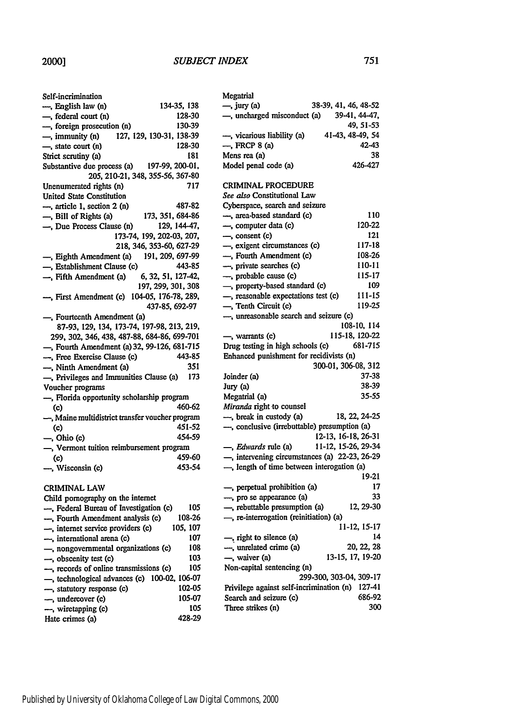#### *SUBJECT INDEX*

| Self-incrimination                              |  |
|-------------------------------------------------|--|
| 134-35, 138<br>-, English law (n)               |  |
| 128-30<br>-, federal court (n)                  |  |
| -, foreign prosecution (n)<br>130-39            |  |
| -, immunity (n)<br>127, 129, 130-31, 138-39     |  |
| 128-30<br>-, state court (n)                    |  |
| Strict scrutiny (a)<br>181                      |  |
| 197-99, 200-01,<br>Substantive due process (a)  |  |
| 205, 210-21, 348, 355-56, 367-80                |  |
| Unenumerated rights (n)<br>717                  |  |
| <b>United State Constitution</b>                |  |
| -, article 1, section 2 (n)<br>487-82           |  |
| 173, 351, 684-86<br>-, Bill of Rights (a)       |  |
| -, Due Process Clause (n)<br>129, 144-47,       |  |
| 173-74, 199, 202-03, 207,                       |  |
| 218, 346, 353-60, 627-29                        |  |
| 191, 209, 697-99<br>-, Eighth Amendment (a)     |  |
| -, Establishment Clause (c)<br>443-85           |  |
| -, Fifth Amendment (a)<br>6, 32, 51, 127-42,    |  |
| 197, 299, 301, 308                              |  |
| -, First Amendment (c) 104-05, 176-78, 289,     |  |
| 437-85, 692-97                                  |  |
| -, Fourteenth Amendment (a)                     |  |
| 87-93, 129, 134, 173-74, 197-98, 213, 219,      |  |
| 299, 302, 346, 438, 487-88, 684-86, 699-701     |  |
| -, Fourth Amendment (a) 32, 99-126, 681-715     |  |
| 443-85<br>-, Free Exercise Clause (c)           |  |
| -, Ninth Amendment (a)<br>351                   |  |
| 173<br>-, Privileges and Immunities Clause (a)  |  |
| Voucher programs                                |  |
| -, Florida opportunity scholarship program      |  |
| 460-62<br>(c)                                   |  |
| -, Maine multidistrict transfer voucher program |  |
| 451-52<br>(c)                                   |  |
| -, Ohio (c)<br>454-59                           |  |
| -, Vermont tuition reimbursement program        |  |
| 459-60<br>$\left( $                             |  |
| 453-54<br>-, Wisconsin (c)                      |  |
|                                                 |  |
| <b>CRIMINAL LAW</b>                             |  |
| Child pornography on the internet               |  |
| 105<br>- Federal Bureau of Investigation (c)    |  |
| 108-26<br>---, Fourth Amendment analysis (c)    |  |
| 105, 107<br>-, internet service providers (c)   |  |
|                                                 |  |

| —, internet service providers (c)            | וטו. נטו |        |
|----------------------------------------------|----------|--------|
| - international arena (c)                    |          | 107    |
| -, nongovernmental organizations (c)         |          | 108    |
| -, obscenity test (c)                        |          | 103    |
| - records of online transmissions (c)        |          | 105    |
| -, technological advances (c) 100-02, 106-07 |          |        |
| -, statutory response (c)                    |          | 102-05 |
| - undercover (c)                             |          | 105-07 |
| -, wiretapping (c)                           |          | 105    |
| Hate crimes (a)                              |          | 428-29 |

| Megatrial                   |                      |
|-----------------------------|----------------------|
| $\rightarrow$ jury (a)      | 38-39, 41, 46, 48-52 |
| -, uncharged misconduct (a) | 39-41, 44-47,        |
|                             | 49.51-53             |
| -, vicarious liability (a)  | 41-43, 48-49, 54     |
| $-$ , FRCP 8 (a)            | 42-43                |
| Mens rea (a)                | 38                   |
| Model penal code (a)        | 426-427              |
|                             |                      |

#### CRIMINAL PROCEDURE

| See also Constitutional Law                   |                         |
|-----------------------------------------------|-------------------------|
| Cyberspace, search and seizure                |                         |
| -, area-based standard (c)                    | 110                     |
| -, computer data (c)                          | 120-22                  |
| -, consent (c)                                | 121                     |
| -, exigent circumstances (c)                  | 117-18                  |
| -, Fourth Amendment (c)                       | 108-26                  |
| -, private searches (c)                       | 110-11                  |
| -, probable cause (c)                         | 115-17                  |
| -, property-based standard (c)                | 109                     |
| -, reasonable expectations test (c)           | 111-15                  |
| -, Tenth Circuit (c)                          | 119-25                  |
| -, unreasonable search and seizure (c)        |                         |
|                                               | 108-10, 114             |
| -, warrants (c)                               | 115-18, 120-22          |
| Drug testing in high schools (c)              | 681-715                 |
| Enhanced punishment for recidivists (n)       |                         |
|                                               | 300-01, 306-08, 312     |
| Joinder (a)                                   | 37-38                   |
| Jury (a)                                      | 38-39                   |
| Megatrial (a)                                 | 35-55                   |
| Miranda right to counsel                      |                         |
| -, break in custody (a)                       | 18, 22, 24-25           |
| -, conclusive (irrebuttable) presumption (a)  |                         |
|                                               | 12-13, 16-18, 26-31     |
| -, <i>Edwards</i> rule (a)                    | 11-12, 15-26, 29-34     |
| -, intervening circumstances (a) 22-23, 26-29 |                         |
| -, length of time between interogation (a)    |                         |
|                                               | 19-21                   |
| -, perpetual prohibition (a)                  | 17                      |
| -, pro se appearance (a)                      | 33                      |
| -, rebuttable presumption (a)                 | 12, 29-30               |
| -, re-interrogation (reinitiation) (a)        |                         |
|                                               | 11-12, 15-17            |
| -, right to silence (a)                       | 14                      |
| -, unrelated crime (a)                        | 20, 22, 28              |
| -, waiver (a)                                 | 13-15, 17, 19-20        |
| Non-capital sentencing (n)                    |                         |
|                                               | 299-300, 303-04, 309-17 |
| Privilege against self-incrimination (n)      | 127-41                  |
| Search and seizure (c)                        | 686-92                  |
| Three strikes (n)                             | 300                     |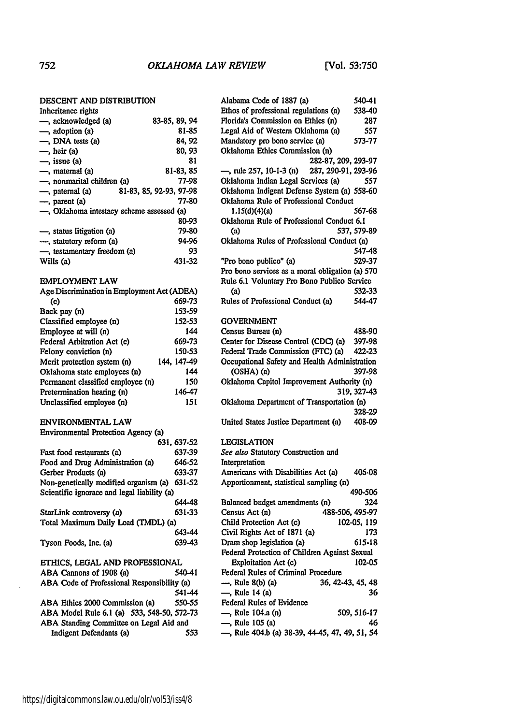#### **DESCENT AND DISTRIBUTION**

| -, acknowledged (a)                       | 83-85, 89, 94           |
|-------------------------------------------|-------------------------|
| —, adoption (a)                           | 81-85                   |
| $\longrightarrow$ , DNA tests (a)         | 84.92                   |
| $\overline{-}$ , heir (a)                 | 80.93                   |
| $\rightarrow$ , issue (a)                 | 81                      |
| —, maternal (a)                           | 81-83, 85               |
| —, nonmarital children (a)                | 77-98                   |
| —, paternal (a)                           | 81-83, 85, 92-93, 97-98 |
| —, parent (a)                             | 77-80                   |
| -, Oklahoma intestacy scheme assessed (a) |                         |
|                                           | 80-93                   |
| -, status litigation (a)                  | 79-80                   |
| -, statutory reform (a)                   | 94-96                   |
| -, testamentary freedom (a)               | 93                      |
| Wills (a)                                 | 431-32                  |

#### EMPLOYMENT LAW

| Age Discrimination in Employment Act (ADEA) |             |
|---------------------------------------------|-------------|
| (c)                                         | 669-73      |
| Back pay (n)                                | 153-59      |
| Classified employee (n)                     | 152-53      |
| Employee at will (n)                        | 144         |
| Federal Arbitration Act (c)                 | 669-73      |
| Felony conviction (n)                       | 150-53      |
| Merit protection system (n)                 | 144. 147-49 |
| Oklahoma state employees (n)                | 144         |
| Permanent classified employee (n)           | 150         |
| Pretermination hearing (n)                  | 146-47      |
| Unclassified employee (n)                   | 151         |

## **ENVIRONMENTAL** LAW

| Environmental Protection Agency (a)          |            |
|----------------------------------------------|------------|
|                                              | 631.637-52 |
| Fast food restaurants (a)                    | 637-39     |
| Food and Drug Administration (a)             | 646-52     |
| Gerber Products (a)                          | 633-37     |
| Non-genetically modified organism (a) 631-52 |            |
| Scientific ignorace and legal liability (a)  |            |
|                                              | 644–48     |
| StarLink controversy (a)                     | 631-33     |
| Total Maximum Daily Load (TMDL) (a)          |            |
|                                              | 643-44     |
| Tyson Foods, Inc. (a)                        | 639-43     |
| ETHICS. LEGAL AND PROFESSIONAL               |            |

#### **ABA** Cannons of **1908** (a) 540-41 **ABA** Code of Professional Responsibility (a) 541-44 **ABA** Ethics 2000 Commission (a) 550-55 **ABA** Model Rule **6.1** (a) 533, 548-50, 572-73

| ABA Standing Committee on Legal Aid and |     |
|-----------------------------------------|-----|
| Indigent Defendants (a)                 | 553 |

| Alabama Code of 1887 (a)                        | 540-41      |
|-------------------------------------------------|-------------|
| Ethos of professional regulations (a)           | 538-40      |
| Florida's Commission on Ethics (n)              | 287         |
| Legal Aid of Western Oklahoma (a)               | 557         |
| Mandatory pro bono service (a)                  | 573-77      |
| Oklahoma Ethics Commission (n)                  |             |
| 282-87, 209, 293-97                             |             |
| -, rule 257, 10-1-3 (n) 287, 290-91, 293-96     |             |
| Oklahoma Indian Legal Services (a)              | 557         |
| Oklahoma Indigent Defense System (a) 558-60     |             |
| Oklahoma Rule of Professional Conduct           |             |
| 1.15(d)(4)(a)                                   | 567-68      |
| Oklahoma Rule of Professional Conduct 6.1       |             |
| (a)                                             | 537, 579-89 |
| Oklahoma Rules of Professional Conduct (a)      |             |
|                                                 | 547-48      |
| "Pro bono publico" (a)                          | 529-37      |
| Pro bono services as a moral obligation (a) 570 |             |
| Rule 6.1 Voluntary Pro Bono Publico Service     |             |
| (a)                                             | 532-33      |
| Rules of Professional Conduct (a)               | 544-47      |
|                                                 |             |
| <b>GOVERNMENT</b>                               |             |
| Census Bureau (n)                               | 488-90      |
| Center for Disease Control (CDC) (a)            | 397-98      |
| Federal Trade Commission (FTC) (a)              | 422-23      |
| Occupational Safety and Health Administration   |             |
| (OSHA) (a)                                      | 397-98      |
| Oklahoma Capitol Improvement Authority (n)      |             |
|                                                 | 319, 327-43 |
| Oklahoma Department of Transportation (n)       |             |
|                                                 | 328-29      |
| United States Justice Department (a)            | 408-09      |
|                                                 |             |
| <b>LEGISLATION</b>                              |             |
| See also Statutory Construction and             |             |
| Interpretation                                  |             |
| Americans with Disabilities Act (a)             | 406-08      |
| Apportionment, statistical sampling (n)         |             |
|                                                 | 490-506     |
| Balanced budget amendments (n)                  | 324         |
| Census Act (n)<br>488-506, 495-97               |             |
| Child Protection Act (c)                        | 102-05, 119 |
| Civil Rights Act of 1871 (a)                    | 173         |
| Dram shop legislation (a)                       | 615-18      |
| Federal Protection of Children Against Sexual   |             |
| Exploitation Act (c)                            | 102-05      |
| Federal Rules of Criminal Procedure             |             |
| -, Rule 8(b) (a)<br>36, 42-43, 45, 48           |             |
| -, Rule 14 (a)                                  | 36          |
| <b>Federal Rules of Evidence</b>                |             |
| —, Rule 104.a (n)                               | 509, 516-17 |
| -, Rule 105 (a)                                 | 46          |
| -, Rule 404.b (a) 38-39, 44-45, 47, 49, 51, 54  |             |
|                                                 |             |

Inheritance rights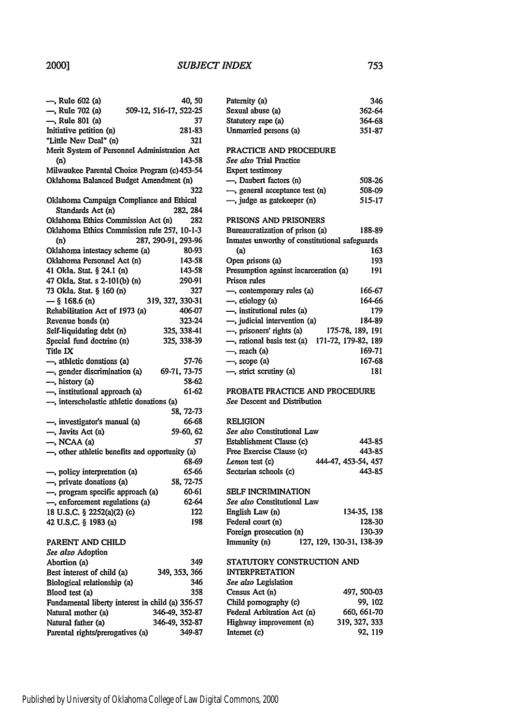#### *SUBJECT INDEX*

| —, Rule 602 (a)                                | 40, 50                                           |
|------------------------------------------------|--------------------------------------------------|
| -, Rule 702 (a)                                | 509-12, 516-17, 522-25                           |
| -, Rule 801 (a)                                | 37                                               |
| Initiative petition (n)                        | 281-83                                           |
| "Little New Deal" (n)                          | 321                                              |
|                                                | Merit System of Personnel Administration Act     |
| (n)                                            | 143-58                                           |
|                                                | Milwaukee Parental Choice Program (c) 453-54     |
| Oklahoma Balanced Budget Amendment (n)         |                                                  |
|                                                | 322                                              |
|                                                | Oklahoma Campaign Compliance and Ethical         |
| Standards Act (n)                              | 282, 284                                         |
| Oklahoma Ethics Commission Act (n)             | 282                                              |
|                                                | Oklahoma Ethics Commission rule 257, 10-1-3      |
| (n)                                            | 287, 290-91, 293-96                              |
| Oklahoma intestacy scheme (a)                  | 80-93                                            |
|                                                |                                                  |
| Oklahoma Personnel Act (n)                     | 143-58                                           |
| 41 Okla. Stat. § 24.1 (n)                      | 143-58                                           |
| 47 Okla. Stat. s 2-101(b) (n)                  | 290-91                                           |
| 73 Okla. Stat. § 160 (n)                       | 327                                              |
| $-$ § 168.6 (n)                                | 319, 327, 330-31                                 |
| Rehabilitation Act of 1973 (a)                 | 406-07                                           |
| Revenue bonds (n)                              | 323-24                                           |
| Self-liquidating debt (n)                      | 325, 338-41                                      |
| Special fund doctrine (n)                      | 325, 338-39                                      |
| Title IX                                       |                                                  |
| -, athletic donations (a)                      | 57-76                                            |
| $-$ , gender discrimination (a)                | 69-71, 73-75                                     |
| -, history (a)                                 | 58-62                                            |
| -, institutional approach (a)                  | 61-62                                            |
| -, interscholastic athletic donations (a)      |                                                  |
|                                                | 58, 72-73                                        |
| -, investigator's manual (a)                   | 66-68                                            |
| -, Javits Act (a)                              | 59-60, 62                                        |
| —, NCAA (a)                                    | 57                                               |
| -, other athletic benefits and opportunity (a) |                                                  |
|                                                | 68-69                                            |
| -, policy interpretation (a)                   | 65-66                                            |
| -, private donations (a)                       | 58, 72-75                                        |
| -, program specific approach (a)               | 60-61                                            |
| -, enforcement regulations (a)                 | 62-64                                            |
| 18 U.S.C. § 2252(a)(2) (c)                     | 122                                              |
| 42 U.S.C. § 1983 (a)                           | 198                                              |
|                                                |                                                  |
| PARENT AND CHILD                               |                                                  |
| See also Adoption                              |                                                  |
| Abortion (a)                                   | 349                                              |
| Best interest of child (a)                     | 349, 353, 366                                    |
|                                                | 346                                              |
| Biological relationship (a)                    | 358                                              |
| Blood test (a)                                 |                                                  |
|                                                | Fundamental liberty interest in child (a) 356-57 |
| Natural mother (a)                             | 346-49, 352-87                                   |
| Natural father (a)                             | 346-49, 352-87                                   |

| Paternity (a)                                     | 346    |  |
|---------------------------------------------------|--------|--|
| Sexual abuse (a)                                  | 362-64 |  |
| Statutory rape (a)                                | 364-68 |  |
| Unmarried persons (a)                             | 351-87 |  |
|                                                   |        |  |
| PRACTICE AND PROCEDURE                            |        |  |
| See also Trial Practice                           |        |  |
| Expert testimony                                  |        |  |
| -, Daubert factors (n)                            | 508-26 |  |
| $\rightarrow$ , general acceptance test (n)       | 508-09 |  |
| -, judge as gatekeeper (n)                        | 515-17 |  |
|                                                   |        |  |
| PRISONS AND PRISONERS                             |        |  |
| Bureaucratization of prison (a)                   | 188-89 |  |
| Inmates unworthy of constitutional safeguards     |        |  |
| (a)                                               | 163    |  |
| Open prisons (a)                                  | 193    |  |
| Presumption against incarceration (a)             | 191    |  |
| Prison rules                                      |        |  |
| —, contemporary rules (a)                         | 166-67 |  |
| $\rightarrow$ , etiology (a)                      | 164-66 |  |
| -, institutional rules (a)                        | 179    |  |
| -, judicial intervention (a)                      | 184-89 |  |
| 175-78, 189, 191<br>-, prisoners' rights (a)      |        |  |
| -, rational basis test (a)<br>171-72, 179-82, 189 |        |  |
| —, reach (a)                                      | 169-71 |  |
| $\rightarrow$ , scope (a)                         | 167-68 |  |
| -, strict scrutiny (a)                            | 181    |  |
|                                                   |        |  |
| PROBATE PRACTICE AND PROCEDURE                    |        |  |

*See* Descent and Distribution

#### **RELIGION**

| <i>See also</i> Constitutional Law |                     |  |
|------------------------------------|---------------------|--|
| Establishment Clause (c)           | 443-85              |  |
| Free Exercise Clause (c)           | 443-85              |  |
| <i>Lemon</i> test (c)              | 444-47, 453-54, 457 |  |
| Sectarian schools (c)              | 443-85              |  |

#### SELF INCRIMINATION

| See also Constitutional Law |                          |
|-----------------------------|--------------------------|
| English Law (n)             | 134-35, 138              |
| Federal court (n)           | 128-30                   |
| Foreign prosecution (n)     | 130-39                   |
| Immunity (n)                | 127, 129, 130-31, 138-39 |

#### STATUTORY CONSTRUCTION **AND**

| <b>INTERPRETATION</b>       |               |
|-----------------------------|---------------|
| See also Legislation        |               |
| Census Act (n)              | 497, 500-03   |
| Child pornography (c)       | 99.102        |
| Federal Arbitration Act (n) | 660, 661-70   |
| Highway improvement (n)     | 319, 327, 333 |
| Internet (c)                | 92, 119       |
|                             |               |

Parental rights/prerogatives (a) **349-87**